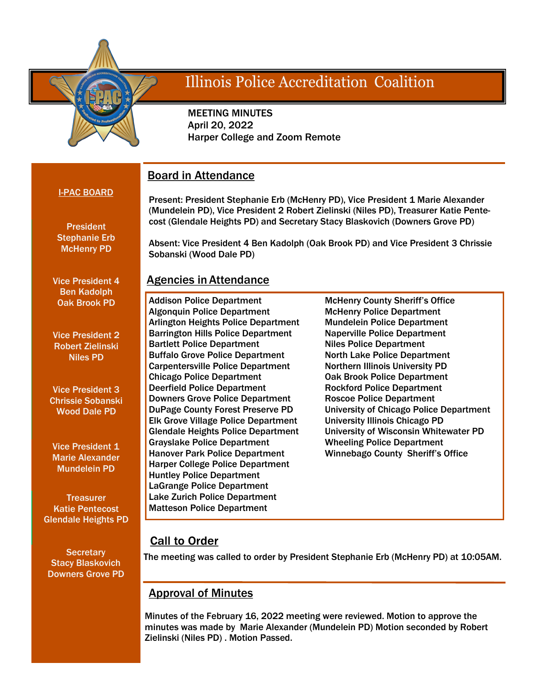

# **Illinois Police Accreditation Coalition**

 MEETING MINUTES April 20, 2022 Harper College and Zoom Remote

# Board in Attendance

### I-PAC BOARD

Present: President Stephanie Erb (McHenry PD), Vice President 1 Marie Alexander (Mundelein PD), Vice President 2 Robert Zielinski (Niles PD), Treasurer Katie Pentecost (Glendale Heights PD) and Secretary Stacy Blaskovich (Downers Grove PD)

Absent: Vice President 4 Ben Kadolph (Oak Brook PD) and Vice President 3 Chrissie

**President** Stephanie Erb McHenry PD

Vice President 4 Ben Kadolph Oak Brook PD

Vice President 2 Robert Zielinski Niles PD

Vice President 3 Chrissie Sobanski Wood Dale PD

Vice President 1 Marie Alexander Mundelein PD

**Treasurer** Katie Pentecost Glendale Heights PD

**Secretary** Stacy Blaskovich Downers Grove PD

# Agencies in Attendance

Sobanski (Wood Dale PD)

Addison Police Department Algonquin Police Department Arlington Heights Police Department Barrington Hills Police Department Bartlett Police Department Buffalo Grove Police Department Carpentersville Police Department Chicago Police Department Deerfield Police Department Downers Grove Police Department DuPage County Forest Preserve PD Elk Grove Village Police Department Glendale Heights Police Department Grayslake Police Department Hanover Park Police Department Harper College Police Department Huntley Police Department LaGrange Police Department Lake Zurich Police Department Matteson Police Department

McHenry County Sheriff's Office McHenry Police Department Mundelein Police Department Naperville Police Department Niles Police Department North Lake Police Department Northern Illinois University PD Oak Brook Police Department Rockford Police Department Roscoe Police Department University of Chicago Police Department University Illinois Chicago PD University of Wisconsin Whitewater PD Wheeling Police Department Winnebago County Sheriff's Office

# **Call to Order**

The meeting was called to order by President Stephanie Erb (McHenry PD) at 10:05AM.

# Approval of Minutes

Minutes of the February 16, 2022 meeting were reviewed. Motion to approve the minutes was made by Marie Alexander (Mundelein PD) Motion seconded by Robert Zielinski (Niles PD) . Motion Passed.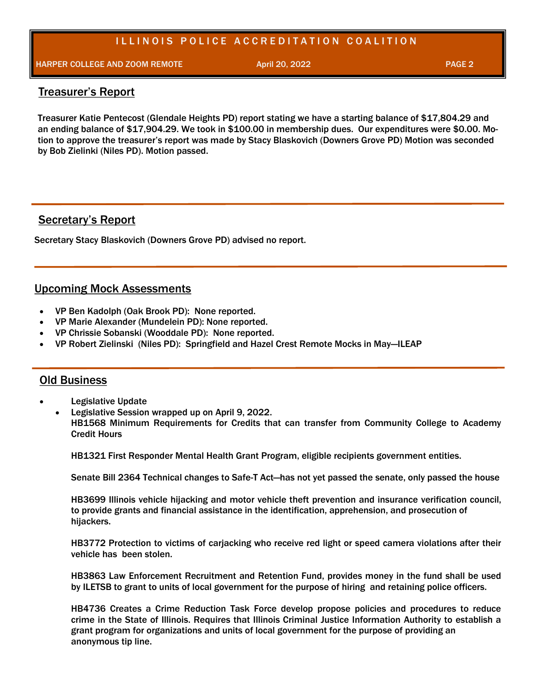# ILLINOIS POLICE ACCREDITATION COALITION

HARPER COLLEGE AND ZOOM REMOTE April 20, 2022 **PAGE 2** April 20, 2022

#### Treasurer's Report

Treasurer Katie Pentecost (Glendale Heights PD) report stating we have a starting balance of \$17,804.29 and an ending balance of \$17,904.29. We took in \$100.00 in membership dues. Our expenditures were \$0.00. Motion to approve the treasurer's report was made by Stacy Blaskovich (Downers Grove PD) Motion was seconded by Bob Zielinki (Niles PD). Motion passed.

## Secretary's Report

Secretary Stacy Blaskovich (Downers Grove PD) advised no report.

## Upcoming Mock Assessments

- VP Ben Kadolph (Oak Brook PD): None reported.
- VP Marie Alexander (Mundelein PD): None reported.
- VP Chrissie Sobanski (Wooddale PD): None reported.
- VP Robert Zielinski (Niles PD): Springfield and Hazel Crest Remote Mocks in May—ILEAP

#### Old Business

- Legislative Update
- Legislative Session wrapped up on April 9, 2022.

HB1568 Minimum Requirements for Credits that can transfer from Community College to Academy Credit Hours

HB1321 First Responder Mental Health Grant Program, eligible recipients government entities.

Senate Bill 2364 Technical changes to Safe-T Act—has not yet passed the senate, only passed the house

HB3699 Illinois vehicle hijacking and motor vehicle theft prevention and insurance verification council, to provide grants and financial assistance in the identification, apprehension, and prosecution of hijackers.

HB3772 Protection to victims of carjacking who receive red light or speed camera violations after their vehicle has been stolen.

HB3863 Law Enforcement Recruitment and Retention Fund, provides money in the fund shall be used by ILETSB to grant to units of local government for the purpose of hiring and retaining police officers.

HB4736 Creates a Crime Reduction Task Force develop propose policies and procedures to reduce crime in the State of Illinois. Requires that Illinois Criminal Justice Information Authority to establish a grant program for organizations and units of local government for the purpose of providing an anonymous tip line.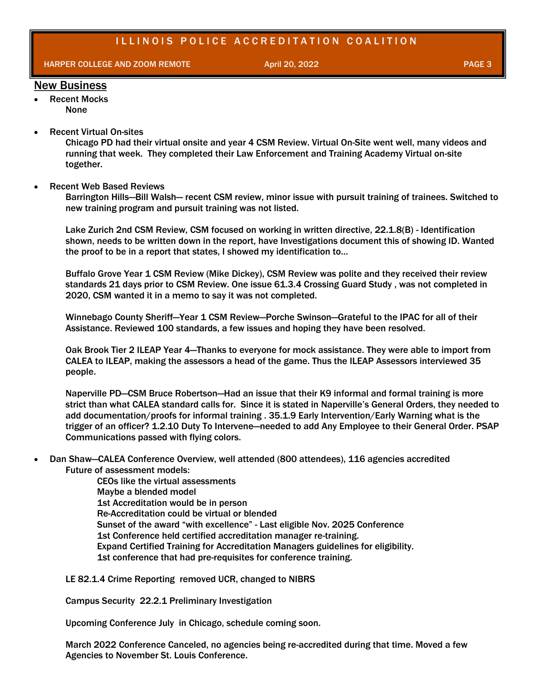HARPER COLLEGE AND ZOOM REMOTE And the state april 20, 2022 April 20, 2022 PAGE 3

#### New Business

- Recent Mocks None
- Recent Virtual On-sites

Chicago PD had their virtual onsite and year 4 CSM Review. Virtual On-Site went well, many videos and running that week. They completed their Law Enforcement and Training Academy Virtual on-site together.

Recent Web Based Reviews

Barrington Hills—Bill Walsh— recent CSM review, minor issue with pursuit training of trainees. Switched to new training program and pursuit training was not listed.

Lake Zurich 2nd CSM Review, CSM focused on working in written directive, 22.1.8(B) - Identification shown, needs to be written down in the report, have Investigations document this of showing ID. Wanted the proof to be in a report that states, I showed my identification to…

Buffalo Grove Year 1 CSM Review (Mike Dickey), CSM Review was polite and they received their review standards 21 days prior to CSM Review. One issue 61.3.4 Crossing Guard Study , was not completed in 2020, CSM wanted it in a memo to say it was not completed.

Winnebago County Sheriff—Year 1 CSM Review—Porche Swinson—Grateful to the IPAC for all of their Assistance. Reviewed 100 standards, a few issues and hoping they have been resolved.

Oak Brook Tier 2 ILEAP Year 4—Thanks to everyone for mock assistance. They were able to import from CALEA to ILEAP, making the assessors a head of the game. Thus the ILEAP Assessors interviewed 35 people.

Naperville PD—CSM Bruce Robertson—Had an issue that their K9 informal and formal training is more strict than what CALEA standard calls for. Since it is stated in Naperville's General Orders, they needed to add documentation/proofs for informal training . 35.1.9 Early Intervention/Early Warning what is the trigger of an officer? 1.2.10 Duty To Intervene—needed to add Any Employee to their General Order. PSAP Communications passed with flying colors.

 Dan Shaw—CALEA Conference Overview, well attended (800 attendees), 116 agencies accredited Future of assessment models:

> CEOs like the virtual assessments Maybe a blended model 1st Accreditation would be in person Re-Accreditation could be virtual or blended Sunset of the award "with excellence" - Last eligible Nov. 2025 Conference 1st Conference held certified accreditation manager re-training. Expand Certified Training for Accreditation Managers guidelines for eligibility. 1st conference that had pre-requisites for conference training.

LE 82.1.4 Crime Reporting removed UCR, changed to NIBRS

Campus Security 22.2.1 Preliminary Investigation

Upcoming Conference July in Chicago, schedule coming soon.

March 2022 Conference Canceled, no agencies being re-accredited during that time. Moved a few Agencies to November St. Louis Conference.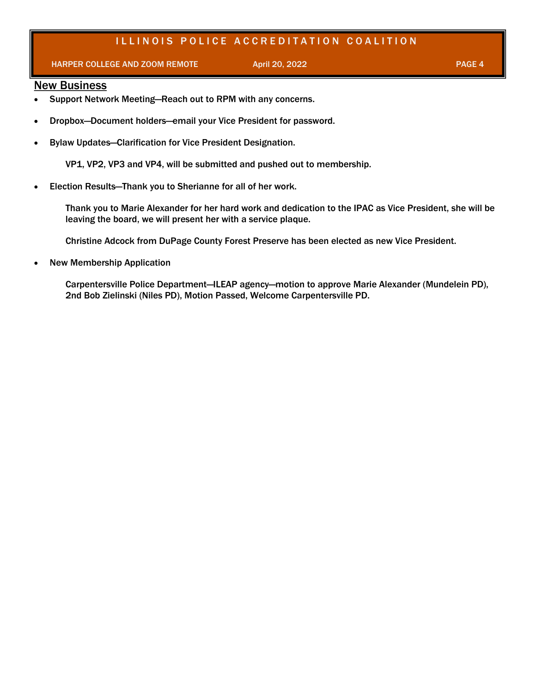# ILLINOIS POLICE ACCREDITATION COALITION

#### HARPER COLLEGE AND ZOOM REMOTE April 20, 2022 **PAGE 4** April 20, 2022 **PAGE 4**

#### **New Business**

- Support Network Meeting-Reach out to RPM with any concerns.
- Dropbox—Document holders—email your Vice President for password.
- Bylaw Updates—Clarification for Vice President Designation.

VP1, VP2, VP3 and VP4, will be submitted and pushed out to membership.

Election Results—Thank you to Sherianne for all of her work.

Thank you to Marie Alexander for her hard work and dedication to the IPAC as Vice President, she will be leaving the board, we will present her with a service plaque.

Christine Adcock from DuPage County Forest Preserve has been elected as new Vice President.

New Membership Application

Carpentersville Police Department—ILEAP agency—motion to approve Marie Alexander (Mundelein PD), 2nd Bob Zielinski (Niles PD), Motion Passed, Welcome Carpentersville PD.